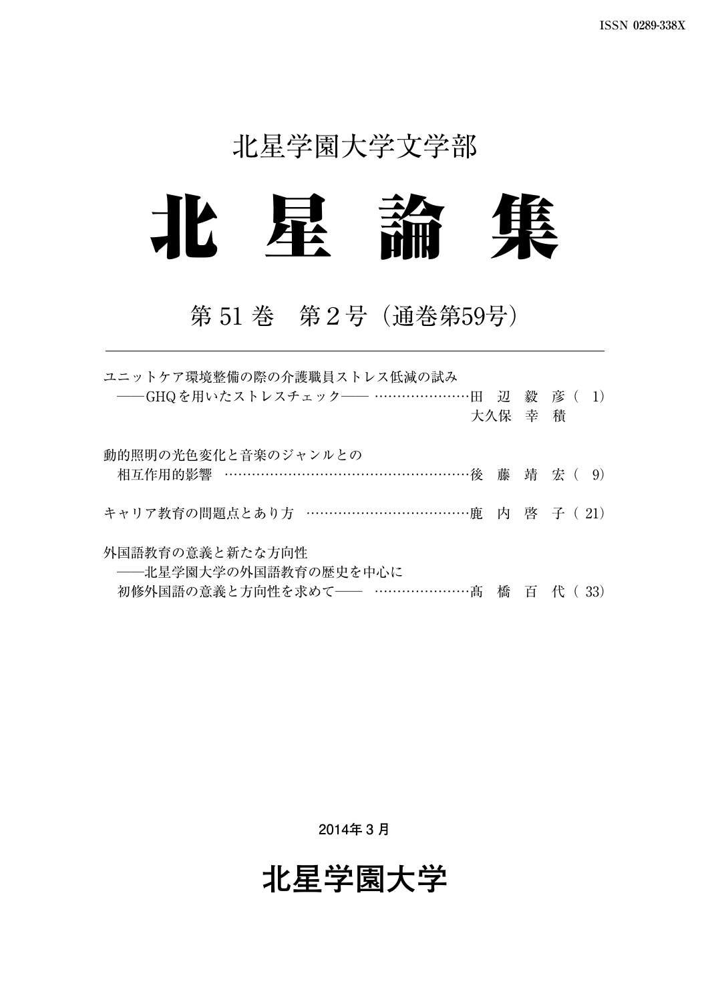# 北星学園大学文学部



## 第 51 巻 第2号(通巻第59号)

| ユニットケア環境整備の際の介護職員ストレス低減の試み               |         |  |
|------------------------------------------|---------|--|
| ──GHQを用いたストレスチェック── …………………田 辺 毅 彦 ( 1)  |         |  |
|                                          | 大久保 幸 積 |  |
| 動的照明の光色変化と音楽のジャンルとの                      |         |  |
| 相互作用的影響 …………………………………………………後 藤 靖 宏 ( 9)  |         |  |
| キャリア教育の問題点とあり方 …………………………………鹿 内 啓 子 (21) |         |  |
| 外国語教育の意義と新たな方向性                          |         |  |
| ――北星学園大学の外国語教育の歴史を中心に                    |         |  |
| 初修外国語の意義と方向性を求めて―― …………………髙 橋 百 代 ( 33)  |         |  |

**2014年 3 月**

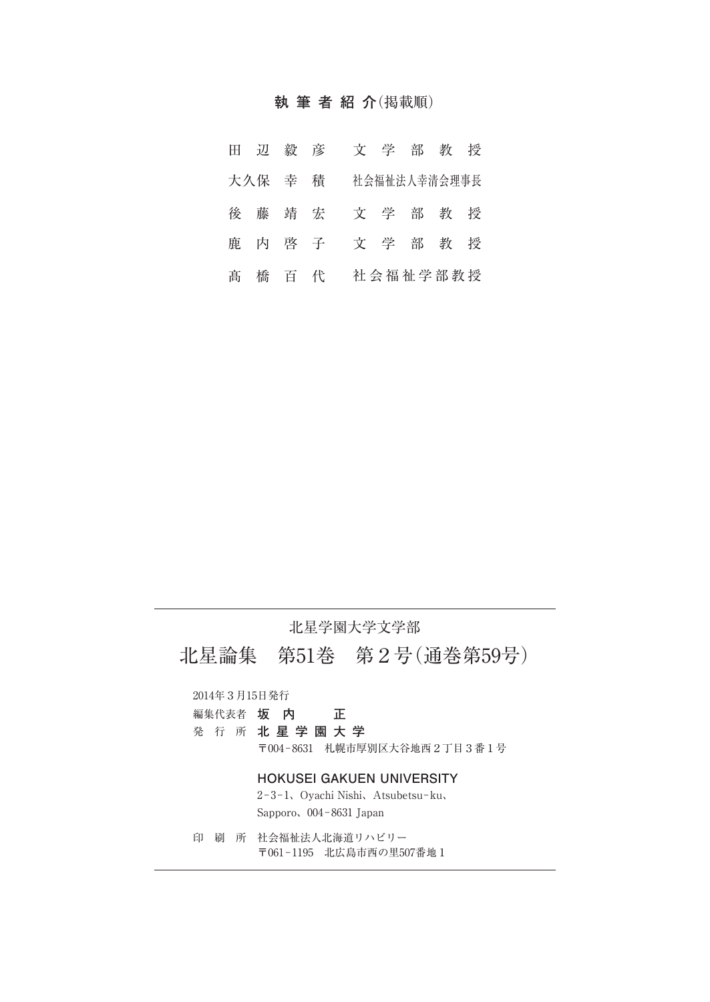### **執筆者紹介**(掲載順)

|  |         | 田辺毅彦    | 文学部教授        |  |  |
|--|---------|---------|--------------|--|--|
|  | 大久保 幸 積 |         | 社会福祉法人幸清会理事長 |  |  |
|  |         | 後 藤 靖 宏 | 文学部教授        |  |  |
|  |         | 鹿 内 啓 子 | 文学部教授        |  |  |
|  |         | 髙 橋 百 代 | 社会福祉学部教授     |  |  |

### 北星学園大学文学部

北星論集 第51巻 第2号(通巻第59号)

2014年3月15日発行

| 編集代表者 | 坂 | 内 |  |
|-------|---|---|--|
|-------|---|---|--|

発 行 所 **北星学園大学**

〒004−8631 札幌市厚別区大谷地西2丁目3番1号

### **HOKUSEI GAKUEN UNIVERSITY**

2−3−1、Oyachi Nishi、Atsubetsu−ku、 Sapporo、004−8631 Japan

印 刷 所 社会福祉法人北海道リハビリー 〒061−1195 北広島市西の里507番地1